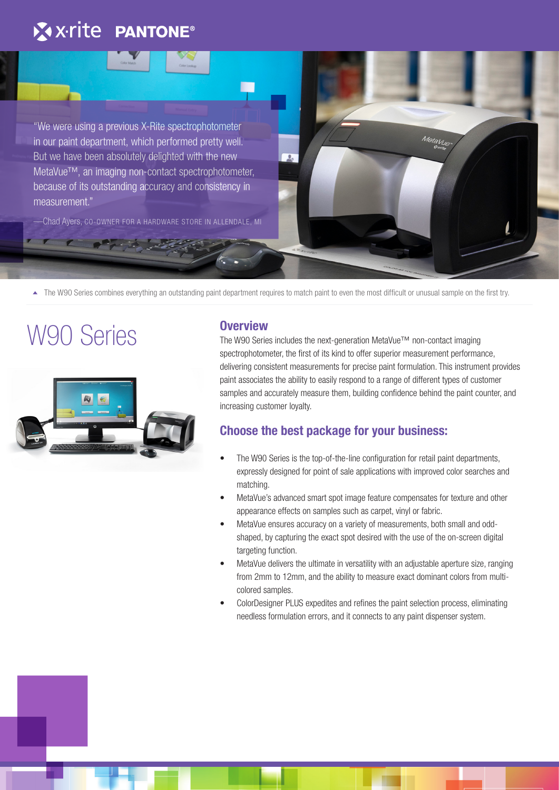## X x-rite PANTONE®

"We were using a previous X-Rite spectrophotometer in our paint department, which performed pretty well. But we have been absolutely delighted with the new MetaVue™, an imaging non-contact spectrophotometer, because of its outstanding accuracy and consistency in measurement."

—Chad Ayers, CO-OWNER FOR A HARDWARE STORE IN ALLENDALE, MI

★ The W90 Series combines everything an outstanding paint department requires to match paint to even the most difficult or unusual sample on the first try.

# W90 Series



#### **Overview**

The W90 Series includes the next-generation MetaVue™ non-contact imaging spectrophotometer, the first of its kind to offer superior measurement performance, delivering consistent measurements for precise paint formulation. This instrument provides paint associates the ability to easily respond to a range of different types of customer samples and accurately measure them, building confidence behind the paint counter, and increasing customer loyalty.

Meta Vue

### **Choose the best package for your business:**

- The W90 Series is the top-of-the-line configuration for retail paint departments, expressly designed for point of sale applications with improved color searches and matching.
- MetaVue's advanced smart spot image feature compensates for texture and other appearance effects on samples such as carpet, vinyl or fabric.
- MetaVue ensures accuracy on a variety of measurements, both small and oddshaped, by capturing the exact spot desired with the use of the on-screen digital targeting function.
- MetaVue delivers the ultimate in versatility with an adjustable aperture size, ranging from 2mm to 12mm, and the ability to measure exact dominant colors from multicolored samples.
- ColorDesigner PLUS expedites and refines the paint selection process, eliminating needless formulation errors, and it connects to any paint dispenser system.